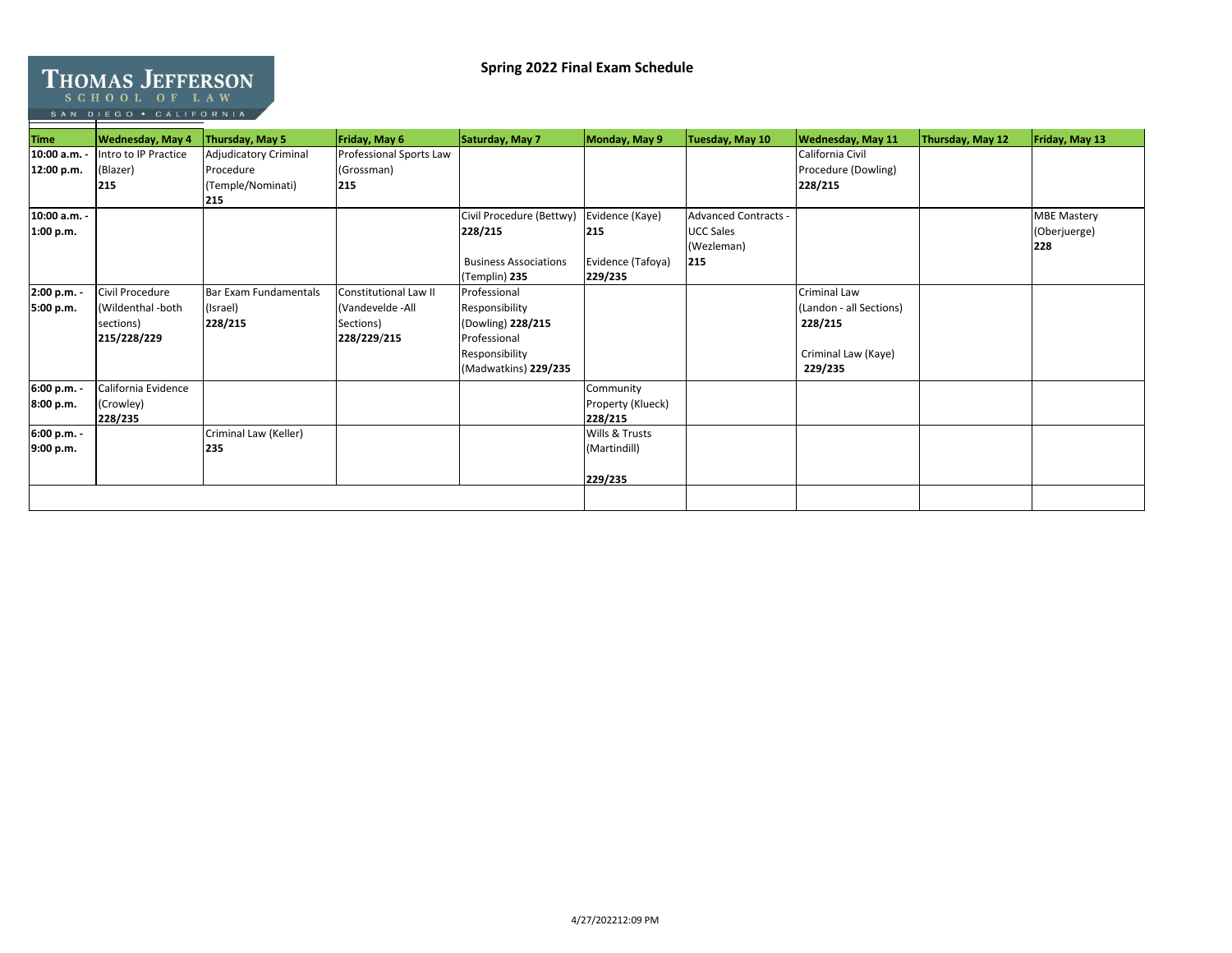## **Spring 2022 Final Exam Schedule**

## THOMAS JEFFERSON

SAN DIEGO . CALIFORNIA

| <b>Time</b>  | <b>Wednesday, May 4</b> | Thursday, May 5              | Friday, May 6           | Saturday, May 7              | Monday, May 9     | Tuesday, May 10             | <b>Wednesday, May 11</b> | Thursday, May 12 | Friday, May 13     |
|--------------|-------------------------|------------------------------|-------------------------|------------------------------|-------------------|-----------------------------|--------------------------|------------------|--------------------|
| 10:00 a.m.   | Intro to IP Practice    | <b>Adjudicatory Criminal</b> | Professional Sports Law |                              |                   |                             | California Civil         |                  |                    |
| 12:00 p.m.   | (Blazer)                | Procedure                    | (Grossman)              |                              |                   |                             | Procedure (Dowling)      |                  |                    |
|              | 215                     | (Temple/Nominati)            | 215                     |                              |                   |                             | 228/215                  |                  |                    |
|              |                         | 215                          |                         |                              |                   |                             |                          |                  |                    |
| 10:00 a.m. - |                         |                              |                         | Civil Procedure (Bettwy)     | Evidence (Kaye)   | <b>Advanced Contracts -</b> |                          |                  | <b>MBE Mastery</b> |
| 1:00 p.m.    |                         |                              |                         | 228/215                      | 215               | <b>UCC Sales</b>            |                          |                  | (Oberjuerge)       |
|              |                         |                              |                         |                              |                   | (Wezleman)                  |                          |                  | 228                |
|              |                         |                              |                         | <b>Business Associations</b> | Evidence (Tafoya) | 215                         |                          |                  |                    |
|              |                         |                              |                         | (Templin) 235                | 229/235           |                             |                          |                  |                    |
| 2:00 p.m. -  | Civil Procedure         | Bar Exam Fundamentals        | Constitutional Law II   | Professional                 |                   |                             | <b>Criminal Law</b>      |                  |                    |
| 5:00 p.m.    | (Wildenthal -both       | (Israel)                     | (Vandevelde -All        | Responsibility               |                   |                             | (Landon - all Sections)  |                  |                    |
|              | sections)               | 228/215                      | Sections)               | (Dowling) 228/215            |                   |                             | 228/215                  |                  |                    |
|              | 215/228/229             |                              | 228/229/215             | Professional                 |                   |                             |                          |                  |                    |
|              |                         |                              |                         | Responsibility               |                   |                             | Criminal Law (Kaye)      |                  |                    |
|              |                         |                              |                         | (Madwatkins) 229/235         |                   |                             | 229/235                  |                  |                    |
| 6:00 p.m. -  | California Evidence     |                              |                         |                              | Community         |                             |                          |                  |                    |
| 8:00 p.m.    | (Crowley)               |                              |                         |                              | Property (Klueck) |                             |                          |                  |                    |
|              | 228/235                 |                              |                         |                              | 228/215           |                             |                          |                  |                    |
| 6:00 p.m. -  |                         | Criminal Law (Keller)        |                         |                              | Wills & Trusts    |                             |                          |                  |                    |
| 9:00 p.m.    |                         | 235                          |                         |                              | (Martindill)      |                             |                          |                  |                    |
|              |                         |                              |                         |                              |                   |                             |                          |                  |                    |
|              |                         |                              |                         |                              | 229/235           |                             |                          |                  |                    |
|              |                         |                              |                         |                              |                   |                             |                          |                  |                    |
|              |                         |                              |                         |                              |                   |                             |                          |                  |                    |